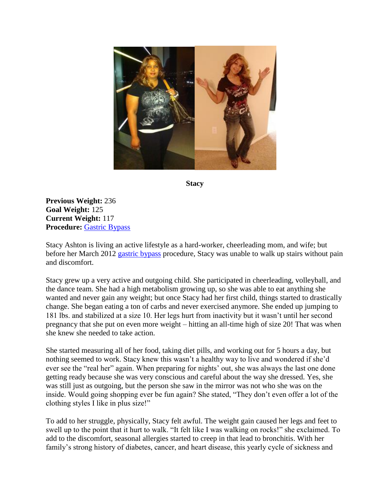

**Stacy**

**Previous Weight:** 236 **Goal Weight:** 125 **Current Weight:** 117 **Procedure:** [Gastric Bypass](http://texasbariatricspecialists.com/gastric-bypass)

Stacy Ashton is living an active lifestyle as a hard-worker, cheerleading mom, and wife; but before her March 2012 [gastric bypass](http://texasbariatricspecialists.com/gastric-bypass) procedure, Stacy was unable to walk up stairs without pain and discomfort.

Stacy grew up a very active and outgoing child. She participated in cheerleading, volleyball, and the dance team. She had a high metabolism growing up, so she was able to eat anything she wanted and never gain any weight; but once Stacy had her first child, things started to drastically change. She began eating a ton of carbs and never exercised anymore. She ended up jumping to 181 lbs. and stabilized at a size 10. Her legs hurt from inactivity but it wasn't until her second pregnancy that she put on even more weight – hitting an all-time high of size 20! That was when she knew she needed to take action.

She started measuring all of her food, taking diet pills, and working out for 5 hours a day, but nothing seemed to work. Stacy knew this wasn't a healthy way to live and wondered if she'd ever see the "real her" again. When preparing for nights' out, she was always the last one done getting ready because she was very conscious and careful about the way she dressed. Yes, she was still just as outgoing, but the person she saw in the mirror was not who she was on the inside. Would going shopping ever be fun again? She stated, "They don't even offer a lot of the clothing styles I like in plus size!"

To add to her struggle, physically, Stacy felt awful. The weight gain caused her legs and feet to swell up to the point that it hurt to walk. "It felt like I was walking on rocks!" she exclaimed. To add to the discomfort, seasonal allergies started to creep in that lead to bronchitis. With her family's strong history of diabetes, cancer, and heart disease, this yearly cycle of sickness and